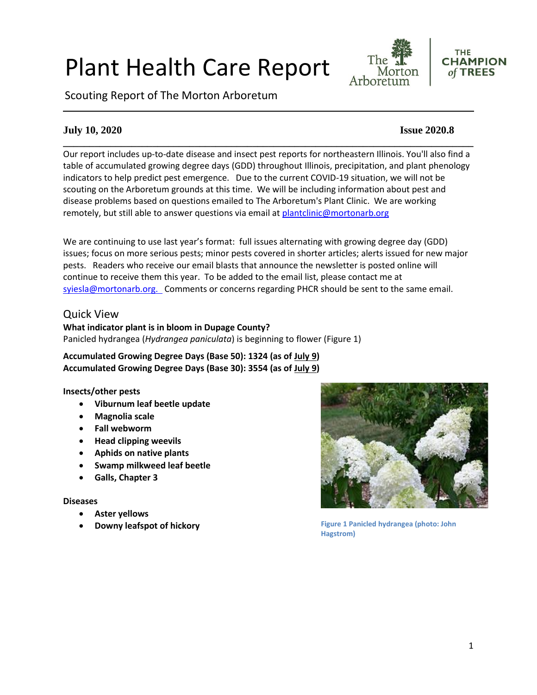# Plant Health Care Report

Scouting Report of The Morton Arboretum



# **July 10, 2020 Issue 2020.8**

Our report includes up-to-date disease and insect pest reports for northeastern Illinois. You'll also find a table of accumulated growing degree days (GDD) throughout Illinois, precipitation, and plant phenology indicators to help predict pest emergence. Due to the current COVID-19 situation, we will not be scouting on the Arboretum grounds at this time. We will be including information about pest and disease problems based on questions emailed to The Arboretum's Plant Clinic. We are working remotely, but still able to answer questions via email at [plantclinic@mortonarb.org](mailto:plantclinic@mortonarb.org)

**\_\_\_\_\_\_\_\_\_\_\_\_\_\_\_\_\_\_\_\_\_\_\_\_\_\_\_\_\_\_\_\_\_\_\_\_\_\_\_\_\_\_\_\_\_\_\_\_\_\_\_\_\_\_\_\_\_\_\_\_\_\_\_\_\_\_\_\_\_\_\_\_\_\_\_\_\_\_**

We are continuing to use last year's format: full issues alternating with growing degree day (GDD) issues; focus on more serious pests; minor pests covered in shorter articles; alerts issued for new major pests. Readers who receive our email blasts that announce the newsletter is posted online will continue to receive them this year. To be added to the email list, please contact me at [syiesla@mortonarb.org.](mailto:syiesla@mortonarb.org) Comments or concerns regarding PHCR should be sent to the same email.

## Quick View

**What indicator plant is in bloom in Dupage County?** Panicled hydrangea (*Hydrangea paniculata*) is beginning to flower (Figure 1)

**Accumulated Growing Degree Days (Base 50): 1324 (as of July 9) Accumulated Growing Degree Days (Base 30): 3554 (as of July 9)**

#### **Insects/other pests**

- **Viburnum leaf beetle update**
- **Magnolia scale**
- **Fall webworm**
- **Head clipping weevils**
- **Aphids on native plants**
- **Swamp milkweed leaf beetle**
- **Galls, Chapter 3**

#### **Diseases**

- **Aster yellows**
- **Downy leafspot of hickory**



**Figure 1 Panicled hydrangea (photo: John Hagstrom)**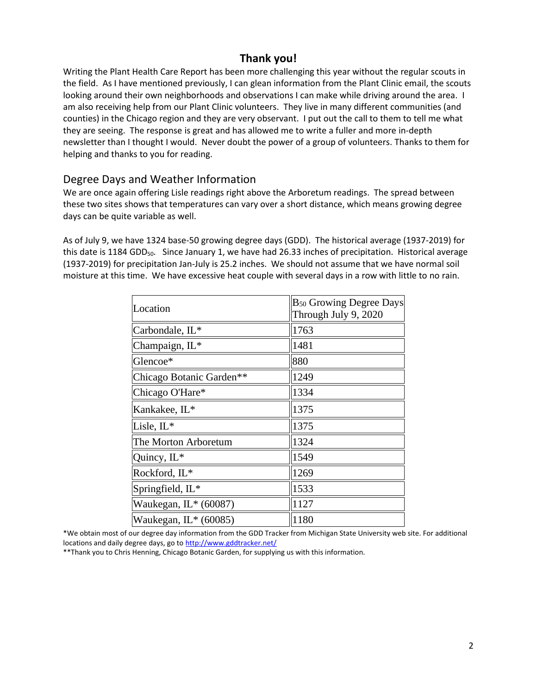# **Thank you!**

Writing the Plant Health Care Report has been more challenging this year without the regular scouts in the field. As I have mentioned previously, I can glean information from the Plant Clinic email, the scouts looking around their own neighborhoods and observations I can make while driving around the area. I am also receiving help from our Plant Clinic volunteers. They live in many different communities (and counties) in the Chicago region and they are very observant. I put out the call to them to tell me what they are seeing. The response is great and has allowed me to write a fuller and more in-depth newsletter than I thought I would. Never doubt the power of a group of volunteers. Thanks to them for helping and thanks to you for reading.

## Degree Days and Weather Information

We are once again offering Lisle readings right above the Arboretum readings. The spread between these two sites shows that temperatures can vary over a short distance, which means growing degree days can be quite variable as well.

As of July 9, we have 1324 base-50 growing degree days (GDD). The historical average (1937-2019) for this date is 1184 GDD $_{50}$ . Since January 1, we have had 26.33 inches of precipitation. Historical average (1937-2019) for precipitation Jan-July is 25.2 inches. We should not assume that we have normal soil moisture at this time. We have excessive heat couple with several days in a row with little to no rain.

| Location                 | $B_{50}$ Growing Degree Days<br>Through July 9, 2020 |
|--------------------------|------------------------------------------------------|
| Carbondale, IL*          | 1763                                                 |
| Champaign, IL*           | 1481                                                 |
| Glencoe*                 | 880                                                  |
| Chicago Botanic Garden** | 1249                                                 |
| Chicago O'Hare*          | 1334                                                 |
| Kankakee, IL*            | 1375                                                 |
| Lisle, $IL^*$            | 1375                                                 |
| The Morton Arboretum     | 1324                                                 |
| Quincy, IL*              | 1549                                                 |
| Rockford, IL*            | 1269                                                 |
| Springfield, IL*         | 1533                                                 |
| Waukegan, $IL*(60087)$   | 1127                                                 |
| Waukegan, $IL^*(60085)$  | 1180                                                 |

\*We obtain most of our degree day information from the GDD Tracker from Michigan State University web site. For additional locations and daily degree days, go t[o http://www.gddtracker.net/](http://www.gddtracker.net/)

\*\*Thank you to Chris Henning, Chicago Botanic Garden, for supplying us with this information.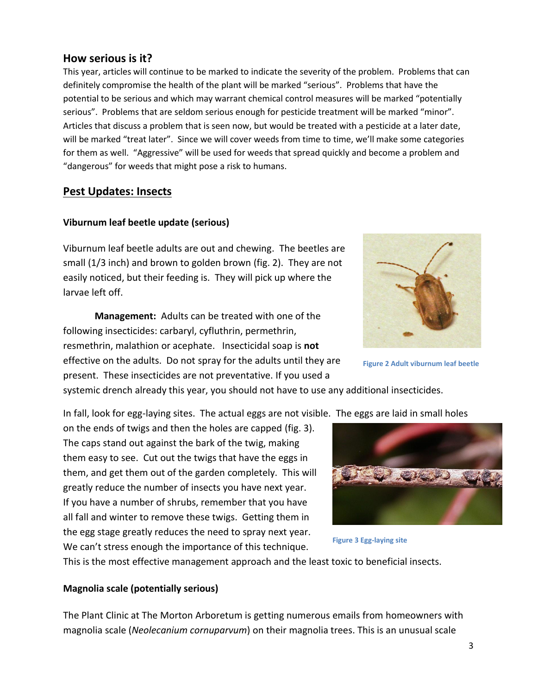This year, articles will continue to be marked to indicate the severity of the problem. Problems that can definitely compromise the health of the plant will be marked "serious".Problems that have the potential to be serious and which may warrant chemical control measures will be marked "potentially serious". Problems that are seldom serious enough for pesticide treatment will be marked "minor". Articles that discuss a problem that is seen now, but would be treated with a pesticide at a later date, will be marked "treat later". Since we will cover weeds from time to time, we'll make some categories for them as well. "Aggressive" will be used for weeds that spread quickly and become a problem and "dangerous" for weeds that might pose a risk to humans.

# **Pest Updates: Insects**

## **Viburnum leaf beetle update (serious)**

Viburnum leaf beetle adults are out and chewing. The beetles are small (1/3 inch) and brown to golden brown (fig. 2). They are not easily noticed, but their feeding is. They will pick up where the larvae left off.

**Management:** Adults can be treated with one of the following insecticides: carbaryl, cyfluthrin, permethrin, resmethrin, malathion or acephate. Insecticidal soap is **not** effective on the adults. Do not spray for the adults until they are present. These insecticides are not preventative. If you used a

systemic drench already this year, you should not have to use any additional insecticides.

In fall, look for egg-laying sites. The actual eggs are not visible. The eggs are laid in small holes

on the ends of twigs and then the holes are capped (fig. 3). The caps stand out against the bark of the twig, making them easy to see. Cut out the twigs that have the eggs in them, and get them out of the garden completely. This will greatly reduce the number of insects you have next year. If you have a number of shrubs, remember that you have all fall and winter to remove these twigs. Getting them in the egg stage greatly reduces the need to spray next year. We can't stress enough the importance of this technique.

This is the most effective management approach and the least toxic to beneficial insects.

#### **Magnolia scale (potentially serious)**

The Plant Clinic at The Morton Arboretum is getting numerous emails from homeowners with magnolia scale (*Neolecanium cornuparvum*) on their magnolia trees. This is an unusual scale



**Figure 3 Egg-laying site**



**Figure 2 Adult viburnum leaf beetle**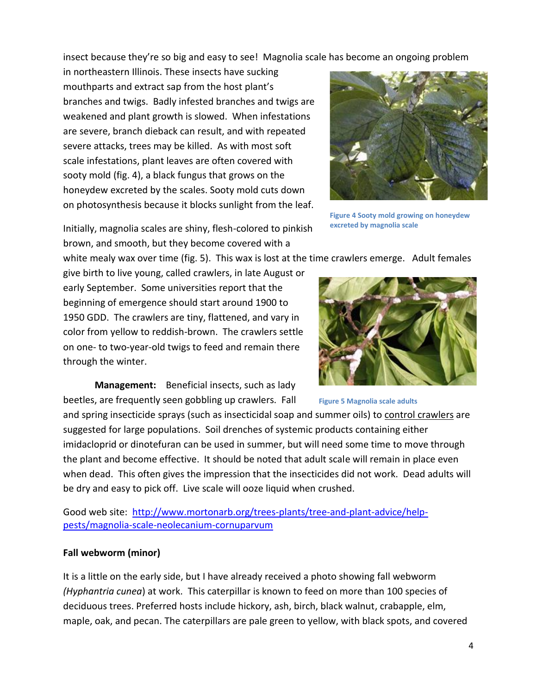insect because they're so big and easy to see! Magnolia scale has become an ongoing problem

in northeastern Illinois. These insects have sucking mouthparts and extract sap from the host plant's branches and twigs. Badly infested branches and twigs are weakened and plant growth is slowed. When infestations are severe, branch dieback can result, and with repeated severe attacks, trees may be killed. As with most soft scale infestations, plant leaves are often covered with sooty mold (fig. 4), a black fungus that grows on the honeydew excreted by the scales. Sooty mold cuts down on photosynthesis because it blocks sunlight from the leaf.



**Figure 4 Sooty mold growing on honeydew excreted by magnolia scale**

Initially, magnolia scales are shiny, flesh-colored to pinkish brown, and smooth, but they become covered with a

white mealy wax over time (fig. 5). This wax is lost at the time crawlers emerge. Adult females

give birth to live young, called crawlers, in late August or early September. Some universities report that the beginning of emergence should start around 1900 to 1950 GDD. The crawlers are tiny, flattened, and vary in color from yellow to reddish-brown. The crawlers settle on one- to two-year-old twigs to feed and remain there through the winter.



**Management:** Beneficial insects, such as lady beetles, are frequently seen gobbling up crawlers. Fall

**Figure 5 Magnolia scale adults**

and spring insecticide sprays (such as insecticidal soap and summer oils) to control crawlers are suggested for large populations. Soil drenches of systemic products containing either imidacloprid or dinotefuran can be used in summer, but will need some time to move through the plant and become effective. It should be noted that adult scale will remain in place even when dead. This often gives the impression that the insecticides did not work. Dead adults will be dry and easy to pick off. Live scale will ooze liquid when crushed.

Good web site: [http://www.mortonarb.org/trees-plants/tree-and-plant-advice/help](http://www.mortonarb.org/trees-plants/tree-and-plant-advice/help-pests/magnolia-scale-neolecanium-cornuparvum)[pests/magnolia-scale-neolecanium-cornuparvum](http://www.mortonarb.org/trees-plants/tree-and-plant-advice/help-pests/magnolia-scale-neolecanium-cornuparvum)

## **Fall webworm (minor)**

It is a little on the early side, but I have already received a photo showing fall webworm *(Hyphantria cunea*) at work. This caterpillar is known to feed on more than 100 species of deciduous trees. Preferred hosts include hickory, ash, birch, black walnut, crabapple, elm, maple, oak, and pecan. The caterpillars are pale green to yellow, with black spots, and covered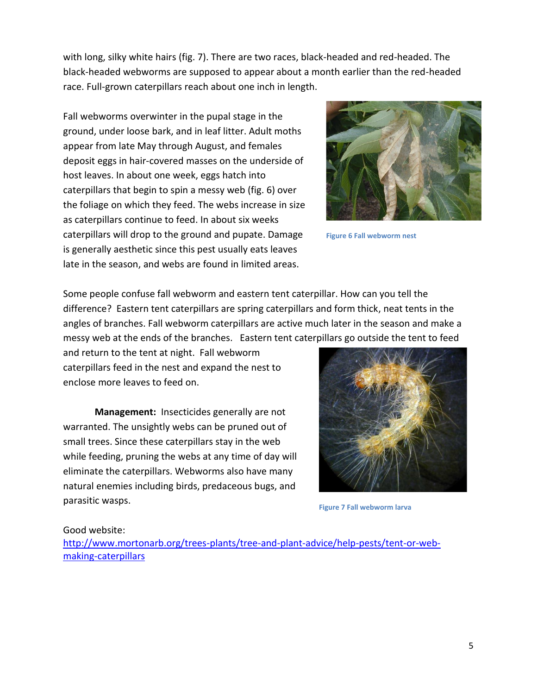with long, silky white hairs (fig. 7). There are two races, black-headed and red-headed. The black-headed webworms are supposed to appear about a month earlier than the red-headed race. Full-grown caterpillars reach about one inch in length.

Fall webworms overwinter in the pupal stage in the ground, under loose bark, and in leaf litter. Adult moths appear from late May through August, and females deposit eggs in hair-covered masses on the underside of host leaves. In about one week, eggs hatch into caterpillars that begin to spin a messy web (fig. 6) over the foliage on which they feed. The webs increase in size as caterpillars continue to feed. In about six weeks caterpillars will drop to the ground and pupate. Damage is generally aesthetic since this pest usually eats leaves late in the season, and webs are found in limited areas.



**Figure 6 Fall webworm nest**

Some people confuse fall webworm and eastern tent caterpillar. How can you tell the difference? Eastern tent caterpillars are spring caterpillars and form thick, neat tents in the angles of branches. Fall webworm caterpillars are active much later in the season and make a messy web at the ends of the branches. Eastern tent caterpillars go outside the tent to feed

and return to the tent at night. Fall webworm caterpillars feed in the nest and expand the nest to enclose more leaves to feed on.

**Management:** Insecticides generally are not warranted. The unsightly webs can be pruned out of small trees. Since these caterpillars stay in the web while feeding, pruning the webs at any time of day will eliminate the caterpillars. Webworms also have many natural enemies including birds, predaceous bugs, and parasitic wasps.



**Figure 7 Fall webworm larva**

#### Good website:

[http://www.mortonarb.org/trees-plants/tree-and-plant-advice/help-pests/tent-or-web](http://www.mortonarb.org/trees-plants/tree-and-plant-advice/help-pests/tent-or-web-making-caterpillars)[making-caterpillars](http://www.mortonarb.org/trees-plants/tree-and-plant-advice/help-pests/tent-or-web-making-caterpillars)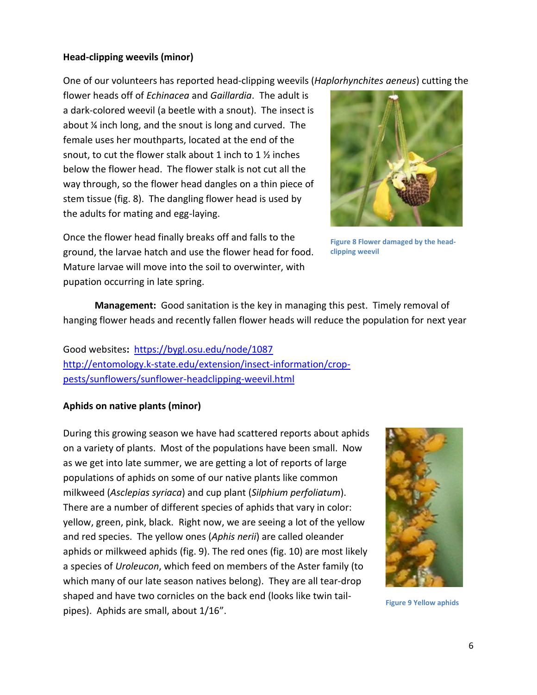#### **Head-clipping weevils (minor)**

One of our volunteers has reported head-clipping weevils (*Haplorhynchites aeneus*) cutting the

flower heads off of *Echinacea* and *Gaillardia*. The adult is a dark-colored weevil (a beetle with a snout). The insect is about ¼ inch long, and the snout is long and curved. The female uses her mouthparts, located at the end of the snout, to cut the flower stalk about 1 inch to 1 ½ inches below the flower head. The flower stalk is not cut all the way through, so the flower head dangles on a thin piece of stem tissue (fig. 8). The dangling flower head is used by the adults for mating and egg-laying.

Once the flower head finally breaks off and falls to the ground, the larvae hatch and use the flower head for food. Mature larvae will move into the soil to overwinter, with pupation occurring in late spring.



**Figure 8 Flower damaged by the headclipping weevil**

**Management:** Good sanitation is the key in managing this pest. Timely removal of hanging flower heads and recently fallen flower heads will reduce the population for next year

# Good websites**:** <https://bygl.osu.edu/node/1087> [http://entomology.k-state.edu/extension/insect-information/crop](http://entomology.k-state.edu/extension/insect-information/crop-pests/sunflowers/sunflower-headclipping-weevil.html)[pests/sunflowers/sunflower-headclipping-weevil.html](http://entomology.k-state.edu/extension/insect-information/crop-pests/sunflowers/sunflower-headclipping-weevil.html)

## **Aphids on native plants (minor)**

During this growing season we have had scattered reports about aphids on a variety of plants. Most of the populations have been small. Now as we get into late summer, we are getting a lot of reports of large populations of aphids on some of our native plants like common milkweed (*Asclepias syriaca*) and cup plant (*Silphium perfoliatum*). There are a number of different species of aphids that vary in color: yellow, green, pink, black. Right now, we are seeing a lot of the yellow and red species. The yellow ones (*Aphis nerii*) are called oleander aphids or milkweed aphids (fig. 9). The red ones (fig. 10) are most likely a species of *Uroleucon*, which feed on members of the Aster family (to which many of our late season natives belong). They are all tear-drop shaped and have two cornicles on the back end (looks like twin tailpipes). Aphids are small, about 1/16".



**Figure 9 Yellow aphids**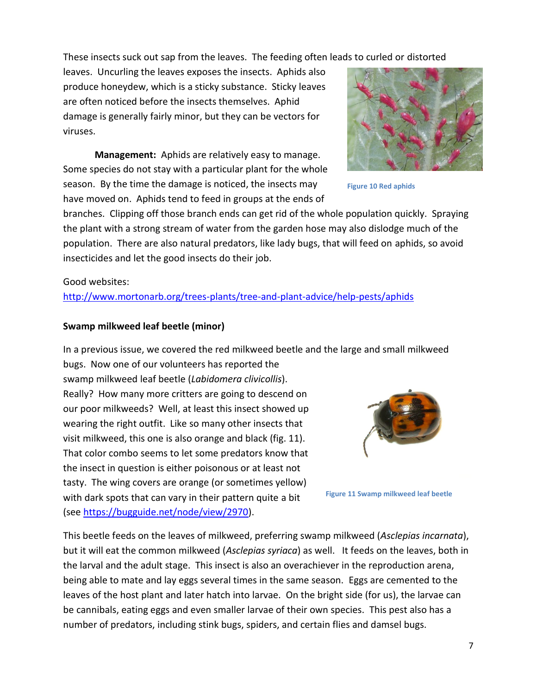7

These insects suck out sap from the leaves. The feeding often leads to curled or distorted

leaves. Uncurling the leaves exposes the insects. Aphids also produce honeydew, which is a sticky substance. Sticky leaves are often noticed before the insects themselves. Aphid damage is generally fairly minor, but they can be vectors for viruses.

**Management:** Aphids are relatively easy to manage. Some species do not stay with a particular plant for the whole season. By the time the damage is noticed, the insects may have moved on. Aphids tend to feed in groups at the ends of

branches. Clipping off those branch ends can get rid of the whole population quickly. Spraying the plant with a strong stream of water from the garden hose may also dislodge much of the population. There are also natural predators, like lady bugs, that will feed on aphids, so avoid insecticides and let the good insects do their job.

## Good websites:

<http://www.mortonarb.org/trees-plants/tree-and-plant-advice/help-pests/aphids>

## **Swamp milkweed leaf beetle (minor)**

In a previous issue, we covered the red milkweed beetle and the large and small milkweed

bugs. Now one of our volunteers has reported the swamp milkweed leaf beetle (*Labidomera clivicollis*). Really? How many more critters are going to descend on our poor milkweeds? Well, at least this insect showed up wearing the right outfit. Like so many other insects that visit milkweed, this one is also orange and black (fig. 11). That color combo seems to let some predators know that the insect in question is either poisonous or at least not tasty. The wing covers are orange (or sometimes yellow) with dark spots that can vary in their pattern quite a bit (see [https://bugguide.net/node/view/2970\)](https://bugguide.net/node/view/2970).

This beetle feeds on the leaves of milkweed, preferring swamp milkweed (*Asclepias incarnata*), but it will eat the common milkweed (*Asclepias syriaca*) as well. It feeds on the leaves, both in the larval and the adult stage. This insect is also an overachiever in the reproduction arena, being able to mate and lay eggs several times in the same season. Eggs are cemented to the leaves of the host plant and later hatch into larvae. On the bright side (for us), the larvae can be cannibals, eating eggs and even smaller larvae of their own species. This pest also has a number of predators, including stink bugs, spiders, and certain flies and damsel bugs.



**Figure 11 Swamp milkweed leaf beetle**



**Figure 10 Red aphids**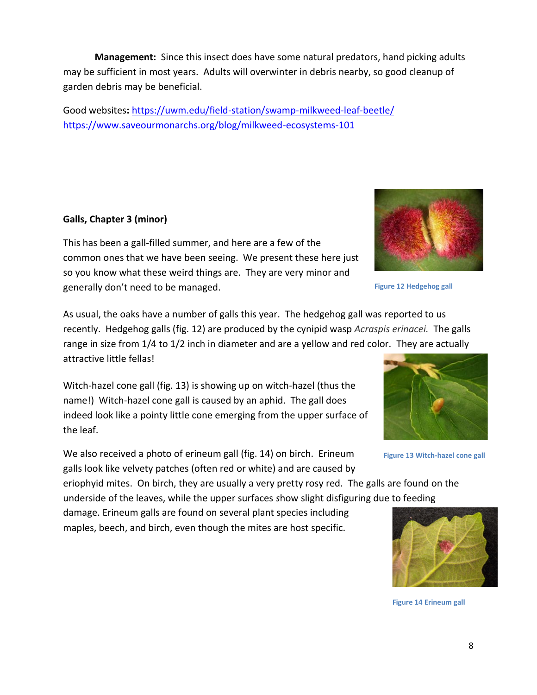**Management:** Since this insect does have some natural predators, hand picking adults may be sufficient in most years. Adults will overwinter in debris nearby, so good cleanup of garden debris may be beneficial.

Good websites**:** <https://uwm.edu/field-station/swamp-milkweed-leaf-beetle/> <https://www.saveourmonarchs.org/blog/milkweed-ecosystems-101>

# **Galls, Chapter 3 (minor)**

This has been a gall-filled summer, and here are a few of the common ones that we have been seeing. We present these here just so you know what these weird things are. They are very minor and generally don't need to be managed.

As usual, the oaks have a number of galls this year. The hedgehog gall was reported to us recently. Hedgehog galls (fig. 12) are produced by the cynipid wasp *Acraspis erinacei.* The galls range in size from 1/4 to 1/2 inch in diameter and are a yellow and red color. They are actually attractive little fellas!

Witch-hazel cone gall (fig. 13) is showing up on witch-hazel (thus the name!) Witch-hazel cone gall is caused by an aphid. The gall does indeed look like a pointy little cone emerging from the upper surface of the leaf.

We also received a photo of erineum gall (fig. 14) on birch. Erineum galls look like velvety patches (often red or white) and are caused by

eriophyid mites. On birch, they are usually a very pretty rosy red. The galls are found on the underside of the leaves, while the upper surfaces *s*how slight disfiguring due to feeding

damage. Erineum galls are found on several plant species including maples, beech, and birch, even though the mites are host specific.



**Figure 13 Witch-hazel cone gall**



**Figure 12 Hedgehog gall**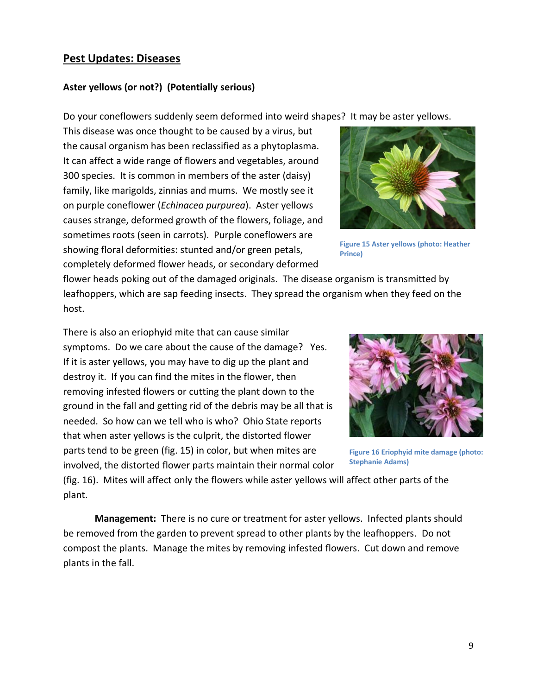## **Aster yellows (or not?) (Potentially serious)**

Do your coneflowers suddenly seem deformed into weird shapes? It may be aster yellows.

This disease was once thought to be caused by a virus, but the causal organism has been reclassified as a phytoplasma. It can affect a wide range of flowers and vegetables, around 300 species. It is common in members of the aster (daisy) family, like marigolds, zinnias and mums. We mostly see it on purple coneflower (*Echinacea purpurea*). Aster yellows causes strange, deformed growth of the flowers, foliage, and sometimes roots (seen in carrots). Purple coneflowers are showing floral deformities: stunted and/or green petals, completely deformed flower heads, or secondary deformed



**Figure 15 Aster yellows (photo: Heather Prince)**

flower heads poking out of the damaged originals. The disease organism is transmitted by leafhoppers, which are sap feeding insects. They spread the organism when they feed on the host.

There is also an eriophyid mite that can cause similar symptoms. Do we care about the cause of the damage? Yes. If it is aster yellows, you may have to dig up the plant and destroy it. If you can find the mites in the flower, then removing infested flowers or cutting the plant down to the ground in the fall and getting rid of the debris may be all that is needed. So how can we tell who is who? Ohio State reports that when aster yellows is the culprit, the distorted flower parts tend to be green (fig. 15) in color, but when mites are involved, the distorted flower parts maintain their normal color



**Figure 16 Eriophyid mite damage (photo: Stephanie Adams)**

(fig. 16). Mites will affect only the flowers while aster yellows will affect other parts of the plant.

**Management:** There is no cure or treatment for aster yellows. Infected plants should be removed from the garden to prevent spread to other plants by the leafhoppers. Do not compost the plants. Manage the mites by removing infested flowers. Cut down and remove plants in the fall.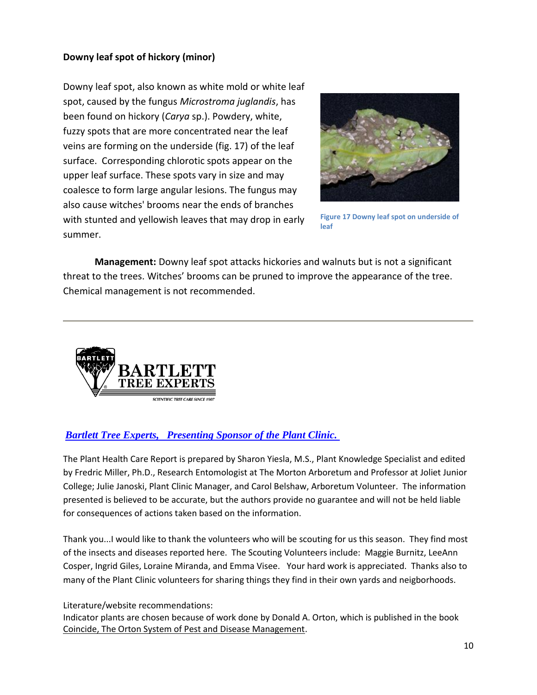## **Downy leaf spot of hickory (minor)**

Downy leaf spot, also known as white mold or white leaf spot, caused by the fungus *Microstroma juglandis*, has been found on hickory (*Carya* sp.). Powdery, white, fuzzy spots that are more concentrated near the leaf veins are forming on the underside (fig. 17) of the leaf surface. Corresponding chlorotic spots appear on the upper leaf surface. These spots vary in size and may coalesce to form large angular lesions. The fungus may also cause witches' brooms near the ends of branches with stunted and yellowish leaves that may drop in early summer.



**Figure 17 Downy leaf spot on underside of leaf**

**Management:** Downy leaf spot attacks hickories and walnuts but is not a significant threat to the trees. Witches' brooms can be pruned to improve the appearance of the tree. Chemical management is not recommended.



## *[Bartlett Tree Experts, Presenting Sponsor of the Plant Clinic.](http://www.bartlett.com/)*

The Plant Health Care Report is prepared by Sharon Yiesla, M.S., Plant Knowledge Specialist and edited by Fredric Miller, Ph.D., Research Entomologist at The Morton Arboretum and Professor at Joliet Junior College; Julie Janoski, Plant Clinic Manager, and Carol Belshaw, Arboretum Volunteer. The information presented is believed to be accurate, but the authors provide no guarantee and will not be held liable for consequences of actions taken based on the information.

Thank you...I would like to thank the volunteers who will be scouting for us this season. They find most of the insects and diseases reported here. The Scouting Volunteers include: Maggie Burnitz, LeeAnn Cosper, Ingrid Giles, Loraine Miranda, and Emma Visee. Your hard work is appreciated. Thanks also to many of the Plant Clinic volunteers for sharing things they find in their own yards and neigborhoods.

#### Literature/website recommendations:

Indicator plants are chosen because of work done by Donald A. Orton, which is published in the book Coincide, The Orton System of Pest and Disease Management.